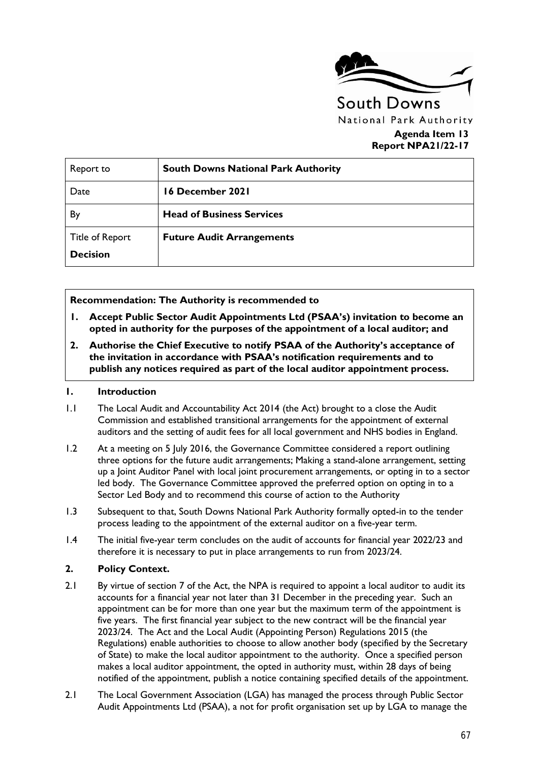

### **Agenda Item 13 Report NPA21/22-17**

| Report to                                 | <b>South Downs National Park Authority</b> |
|-------------------------------------------|--------------------------------------------|
| Date                                      | 16 December 2021                           |
| By                                        | <b>Head of Business Services</b>           |
| <b>Title of Report</b><br><b>Decision</b> | <b>Future Audit Arrangements</b>           |

**Recommendation: The Authority is recommended to** 

- **1. Accept Public Sector Audit Appointments Ltd (PSAA's) invitation to become an opted in authority for the purposes of the appointment of a local auditor; and**
- **2. Authorise the Chief Executive to notify PSAA of the Authority's acceptance of the invitation in accordance with PSAA's notification requirements and to publish any notices required as part of the local auditor appointment process.**

#### **1. Introduction**

- 1.1 The Local Audit and Accountability Act 2014 (the Act) brought to a close the Audit Commission and established transitional arrangements for the appointment of external auditors and the setting of audit fees for all local government and NHS bodies in England.
- 1.2 At a meeting on 5 July 2016, the Governance Committee considered a report outlining three options for the future audit arrangements; Making a stand-alone arrangement, setting up a Joint Auditor Panel with local joint procurement arrangements, or opting in to a sector led body. The Governance Committee approved the preferred option on opting in to a Sector Led Body and to recommend this course of action to the Authority
- 1.3 Subsequent to that, South Downs National Park Authority formally opted-in to the tender process leading to the appointment of the external auditor on a five-year term.
- 1.4 The initial five-year term concludes on the audit of accounts for financial year 2022/23 and therefore it is necessary to put in place arrangements to run from 2023/24.

#### **2. Policy Context.**

- 2.1 By virtue of section 7 of the Act, the NPA is required to appoint a local auditor to audit its accounts for a financial year not later than 31 December in the preceding year. Such an appointment can be for more than one year but the maximum term of the appointment is five years. The first financial year subject to the new contract will be the financial year 2023/24. The Act and the Local Audit (Appointing Person) Regulations 2015 (the Regulations) enable authorities to choose to allow another body (specified by the Secretary of State) to make the local auditor appointment to the authority. Once a specified person makes a local auditor appointment, the opted in authority must, within 28 days of being notified of the appointment, publish a notice containing specified details of the appointment.
- 2.1 The Local Government Association (LGA) has managed the process through Public Sector Audit Appointments Ltd (PSAA), a not for profit organisation set up by LGA to manage the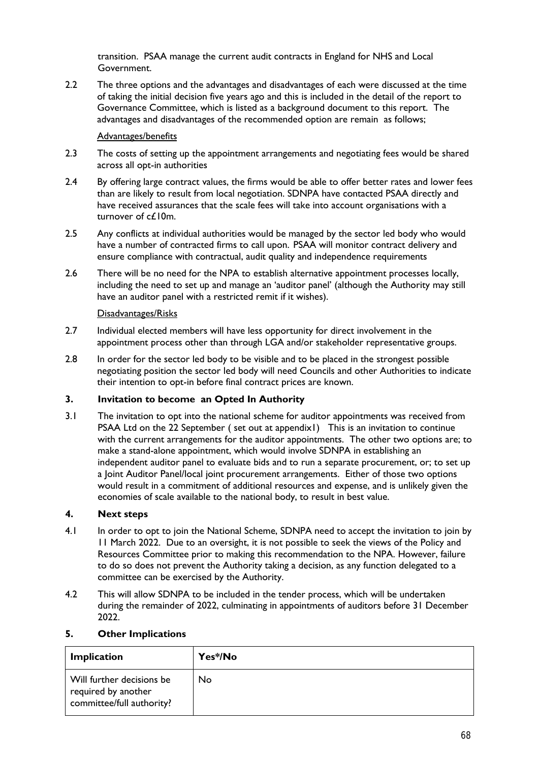transition. PSAA manage the current audit contracts in England for NHS and Local Government.

2.2 The three options and the advantages and disadvantages of each were discussed at the time of taking the initial decision five years ago and this is included in the detail of the report to Governance Committee, which is listed as a background document to this report. The advantages and disadvantages of the recommended option are remain as follows;

#### Advantages/benefits

- 2.3 The costs of setting up the appointment arrangements and negotiating fees would be shared across all opt-in authorities
- 2.4 By offering large contract values, the firms would be able to offer better rates and lower fees than are likely to result from local negotiation. SDNPA have contacted PSAA directly and have received assurances that the scale fees will take into account organisations with a turnover of c£10m.
- 2.5 Any conflicts at individual authorities would be managed by the sector led body who would have a number of contracted firms to call upon. PSAA will monitor contract delivery and ensure compliance with contractual, audit quality and independence requirements
- 2.6 There will be no need for the NPA to establish alternative appointment processes locally, including the need to set up and manage an 'auditor panel' (although the Authority may still have an auditor panel with a restricted remit if it wishes).

#### Disadvantages/Risks

- 2.7 Individual elected members will have less opportunity for direct involvement in the appointment process other than through LGA and/or stakeholder representative groups.
- 2.8 In order for the sector led body to be visible and to be placed in the strongest possible negotiating position the sector led body will need Councils and other Authorities to indicate their intention to opt-in before final contract prices are known.

### **3. Invitation to become an Opted In Authority**

3.1 The invitation to opt into the national scheme for auditor appointments was received from PSAA Ltd on the 22 September ( set out at appendix1) This is an invitation to continue with the current arrangements for the auditor appointments. The other two options are; to make a stand-alone appointment, which would involve SDNPA in establishing an independent auditor panel to evaluate bids and to run a separate procurement, or; to set up a Joint Auditor Panel/local joint procurement arrangements. Either of those two options would result in a commitment of additional resources and expense, and is unlikely given the economies of scale available to the national body, to result in best value.

#### **4. Next steps**

- 4.1 In order to opt to join the National Scheme, SDNPA need to accept the invitation to join by 11 March 2022. Due to an oversight, it is not possible to seek the views of the Policy and Resources Committee prior to making this recommendation to the NPA. However, failure to do so does not prevent the Authority taking a decision, as any function delegated to a committee can be exercised by the Authority.
- 4.2 This will allow SDNPA to be included in the tender process, which will be undertaken during the remainder of 2022, culminating in appointments of auditors before 31 December 2022.

#### **5. Other Implications**

| <b>Implication</b>                                                            | Yes*/No |
|-------------------------------------------------------------------------------|---------|
| Will further decisions be<br>required by another<br>committee/full authority? | No      |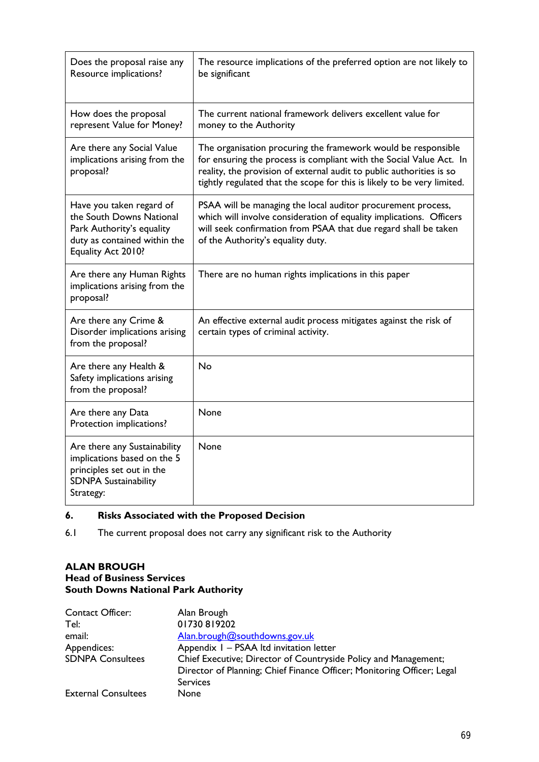| Does the proposal raise any<br>Resource implications?                                                                                   | The resource implications of the preferred option are not likely to<br>be significant                                                                                                                                                                                                   |
|-----------------------------------------------------------------------------------------------------------------------------------------|-----------------------------------------------------------------------------------------------------------------------------------------------------------------------------------------------------------------------------------------------------------------------------------------|
| How does the proposal<br>represent Value for Money?                                                                                     | The current national framework delivers excellent value for<br>money to the Authority                                                                                                                                                                                                   |
| Are there any Social Value<br>implications arising from the<br>proposal?                                                                | The organisation procuring the framework would be responsible<br>for ensuring the process is compliant with the Social Value Act. In<br>reality, the provision of external audit to public authorities is so<br>tightly regulated that the scope for this is likely to be very limited. |
| Have you taken regard of<br>the South Downs National<br>Park Authority's equality<br>duty as contained within the<br>Equality Act 2010? | PSAA will be managing the local auditor procurement process,<br>which will involve consideration of equality implications. Officers<br>will seek confirmation from PSAA that due regard shall be taken<br>of the Authority's equality duty.                                             |
| Are there any Human Rights<br>implications arising from the<br>proposal?                                                                | There are no human rights implications in this paper                                                                                                                                                                                                                                    |
| Are there any Crime &<br>Disorder implications arising<br>from the proposal?                                                            | An effective external audit process mitigates against the risk of<br>certain types of criminal activity.                                                                                                                                                                                |
| Are there any Health &<br>Safety implications arising<br>from the proposal?                                                             | <b>No</b>                                                                                                                                                                                                                                                                               |
| Are there any Data<br>Protection implications?                                                                                          | None                                                                                                                                                                                                                                                                                    |
| Are there any Sustainability<br>implications based on the 5<br>principles set out in the<br><b>SDNPA Sustainability</b><br>Strategy:    | None                                                                                                                                                                                                                                                                                    |

## **6. Risks Associated with the Proposed Decision**

6.1 The current proposal does not carry any significant risk to the Authority

#### **ALAN BROUGH**

#### **Head of Business Services South Downs National Park Authority**

| Contact Officer:           | Alan Brough                                                            |
|----------------------------|------------------------------------------------------------------------|
| Tel:                       | 01730 819202                                                           |
| email:                     | Alan.brough@southdowns.gov.uk                                          |
| Appendices:                | Appendix I - PSAA Itd invitation letter                                |
| <b>SDNPA Consultees</b>    | Chief Executive; Director of Countryside Policy and Management;        |
|                            | Director of Planning; Chief Finance Officer; Monitoring Officer; Legal |
|                            | <b>Services</b>                                                        |
| <b>External Consultees</b> | <b>None</b>                                                            |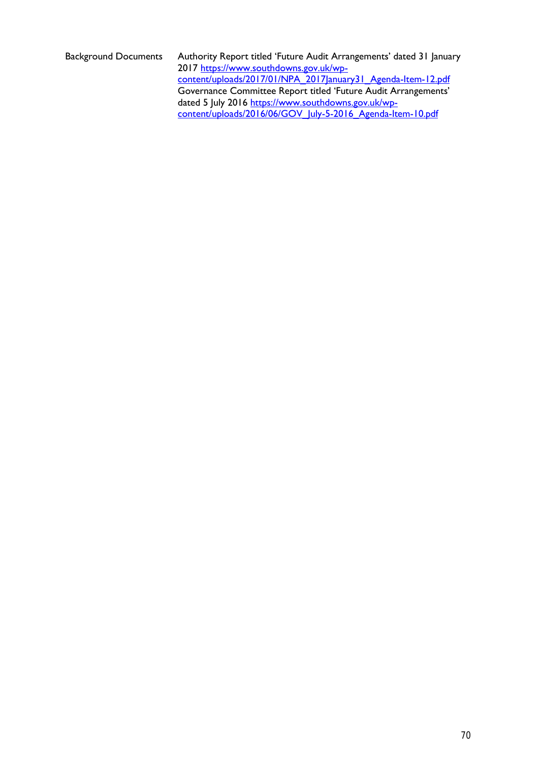Background Documents Authority Report titled 'Future Audit Arrangements' dated 31 January 2017 [https://www.southdowns.gov.uk/wp](https://www.southdowns.gov.uk/wp-content/uploads/2017/01/NPA_2017January31_Agenda-Item-12.pdf)[content/uploads/2017/01/NPA\\_2017January31\\_Agenda-Item-12.pdf](https://www.southdowns.gov.uk/wp-content/uploads/2017/01/NPA_2017January31_Agenda-Item-12.pdf) Governance Committee Report titled 'Future Audit Arrangements' dated 5 July 2016 [https://www.southdowns.gov.uk/wp](https://www.southdowns.gov.uk/wp-content/uploads/2016/06/GOV_July-5-2016_Agenda-Item-10.pdf)[content/uploads/2016/06/GOV\\_July-5-2016\\_Agenda-Item-10.pdf](https://www.southdowns.gov.uk/wp-content/uploads/2016/06/GOV_July-5-2016_Agenda-Item-10.pdf)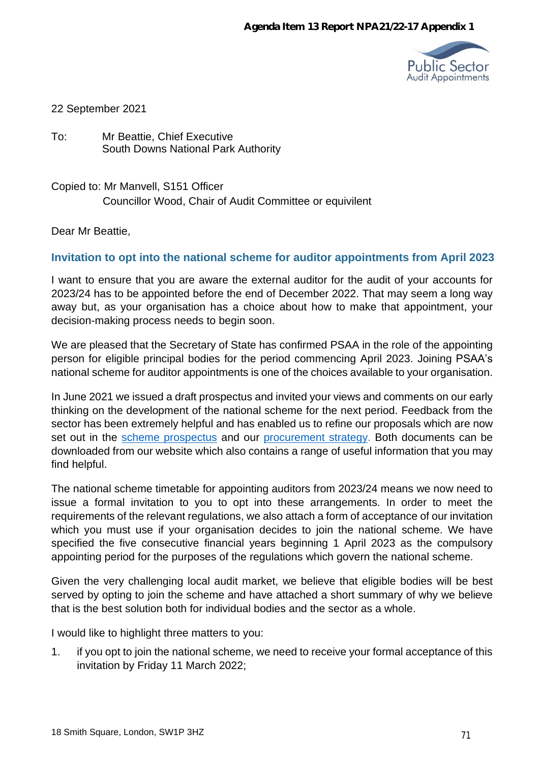

### 22 September 2021

To: Mr Beattie, Chief Executive South Downs National Park Authority

Copied to: Mr Manvell, S151 Officer Councillor Wood, Chair of Audit Committee or equivilent

Dear Mr Beattie,

## **Invitation to opt into the national scheme for auditor appointments from April 2023**

I want to ensure that you are aware the external auditor for the audit of your accounts for 2023/24 has to be appointed before the end of December 2022. That may seem a long way away but, as your organisation has a choice about how to make that appointment, your decision-making process needs to begin soon.

We are pleased that the Secretary of State has confirmed PSAA in the role of the appointing person for eligible principal bodies for the period commencing April 2023. Joining PSAA's national scheme for auditor appointments is one of the choices available to your organisation.

In June 2021 we issued a draft prospectus and invited your views and comments on our early thinking on the development of the national scheme for the next period. Feedback from the sector has been extremely helpful and has enabled us to refine our proposals which are now set out in the scheme [prospectus](https://www.psaa.co.uk/about-us/appointing-person-information/appointing-period-2023-24-2027-28/prospectus-2023-and-beyond/) and our [procurement](https://www.psaa.co.uk/about-us/appointing-person-information/appointing-period-2023-24-2027-28/procurement-strategy/) strategy. Both documents can be downloaded from our website which also contains a range of useful information that you may find helpful.

The national scheme timetable for appointing auditors from 2023/24 means we now need to issue a formal invitation to you to opt into these arrangements. In order to meet the requirements of the relevant regulations, we also attach a form of acceptance of our invitation which you must use if your organisation decides to join the national scheme. We have specified the five consecutive financial years beginning 1 April 2023 as the compulsory appointing period for the purposes of the regulations which govern the national scheme.

Given the very challenging local audit market, we believe that eligible bodies will be best served by opting to join the scheme and have attached a short summary of why we believe that is the best solution both for individual bodies and the sector as a whole.

I would like to highlight three matters to you:

1. if you opt to join the national scheme, we need to receive your formal acceptance of this invitation by Friday 11 March 2022;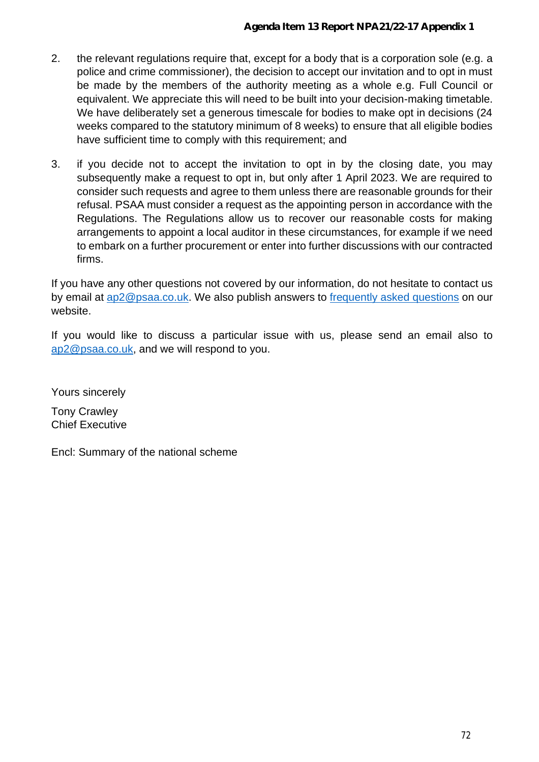- 2. the relevant regulations require that, except for a body that is a corporation sole (e.g. a police and crime commissioner), the decision to accept our invitation and to opt in must be made by the members of the authority meeting as a whole e.g. Full Council or equivalent. We appreciate this will need to be built into your decision-making timetable. We have deliberately set a generous timescale for bodies to make opt in decisions (24 weeks compared to the statutory minimum of 8 weeks) to ensure that all eligible bodies have sufficient time to comply with this requirement; and
- 3. if you decide not to accept the invitation to opt in by the closing date, you may subsequently make a request to opt in, but only after 1 April 2023. We are required to consider such requests and agree to them unless there are reasonable grounds for their refusal. PSAA must consider a request as the appointing person in accordance with the Regulations. The Regulations allow us to recover our reasonable costs for making arrangements to appoint a local auditor in these circumstances, for example if we need to embark on a further procurement or enter into further discussions with our contracted firms.

If you have any other questions not covered by our information, do not hesitate to contact us by email at [ap2@psaa.co.uk.](mailto:ap2@psaa.co.uk) We also publish answers to [frequently](https://www.psaa.co.uk/contact-us/frequently-asked-questions/) asked questions on our [website.](http://www.psaa.co.uk/supporting-the-transition/appointing-person/)

If you would like to discuss a particular issue with us, please send an email also to [ap2@psaa.co.uk,](mailto:ap2@psaa.co.uk) and we will respond to you.

Yours sincerely

Tony Crawley Chief Executive

Encl: Summary of the national scheme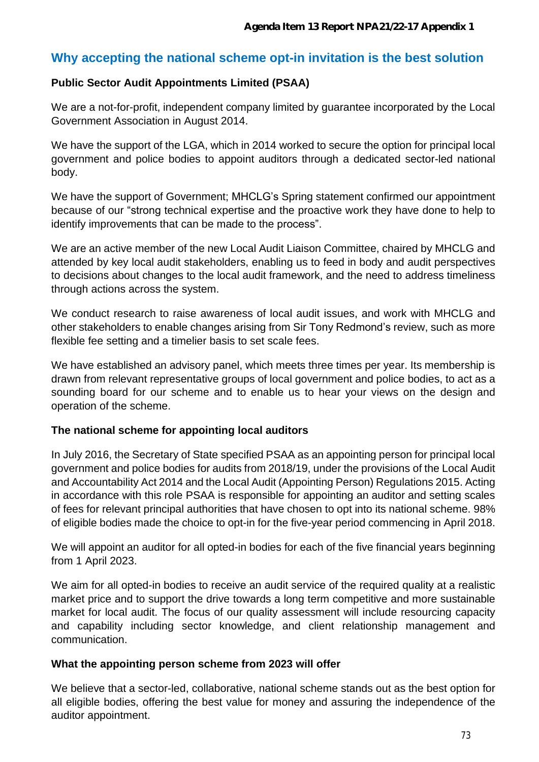# **Why accepting the national scheme opt-in invitation is the best solution**

# **Public Sector Audit Appointments Limited (PSAA)**

We are a not-for-profit, independent company limited by guarantee incorporated by the Local Government Association in August 2014.

We have the support of the LGA, which in 2014 worked to secure the option for principal local government and police bodies to appoint auditors through a dedicated sector-led national body.

We have the support of Government; MHCLG's Spring statement confirmed our appointment because of our "strong technical expertise and the proactive work they have done to help to identify improvements that can be made to the process".

We are an active member of the new Local Audit Liaison Committee, chaired by MHCLG and attended by key local audit stakeholders, enabling us to feed in body and audit perspectives to decisions about changes to the local audit framework, and the need to address timeliness through actions across the system.

We conduct research to raise awareness of local audit issues, and work with MHCLG and other stakeholders to enable changes arising from Sir Tony Redmond's review, such as more flexible fee setting and a timelier basis to set scale fees.

We have established an advisory panel, which meets three times per year. Its membership is drawn from relevant representative groups of local government and police bodies, to act as a sounding board for our scheme and to enable us to hear your views on the design and operation of the scheme.

# **The national scheme for appointing local auditors**

In July 2016, the Secretary of State specified PSAA as an appointing person for principal local government and police bodies for audits from 2018/19, under the provisions of the Local Audit and Accountability Act 2014 and the Local Audit (Appointing Person) Regulations 2015. Acting in accordance with this role PSAA is responsible for appointing an auditor and setting scales of fees for relevant principal authorities that have chosen to opt into its national scheme. 98% of eligible bodies made the choice to opt-in for the five-year period commencing in April 2018.

We will appoint an auditor for all opted-in bodies for each of the five financial years beginning from 1 April 2023.

We aim for all opted-in bodies to receive an audit service of the required quality at a realistic market price and to support the drive towards a long term competitive and more sustainable market for local audit. The focus of our quality assessment will include resourcing capacity and capability including sector knowledge, and client relationship management and communication.

### **What the appointing person scheme from 2023 will offer**

We believe that a sector-led, collaborative, national scheme stands out as the best option for all eligible bodies, offering the best value for money and assuring the independence of the auditor appointment.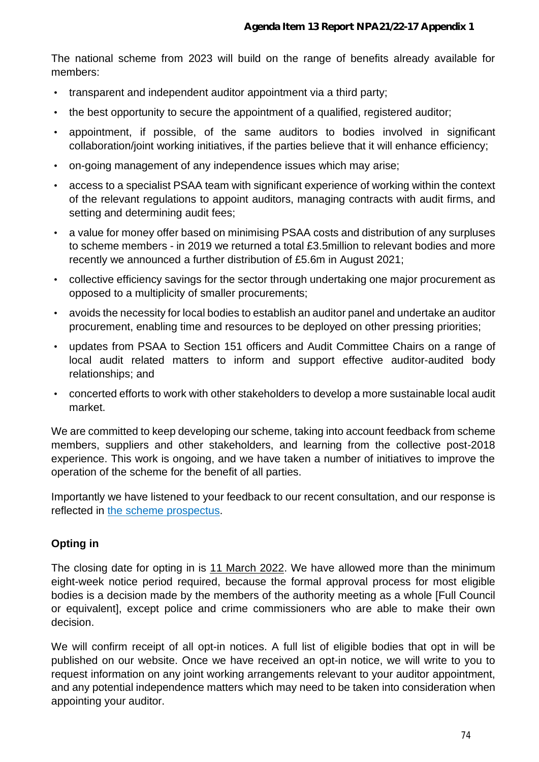The national scheme from 2023 will build on the range of benefits already available for members:

- transparent and independent auditor appointment via a third party;
- the best opportunity to secure the appointment of a qualified, registered auditor;
- appointment, if possible, of the same auditors to bodies involved in significant collaboration/joint working initiatives, if the parties believe that it will enhance efficiency;
- on-going management of any independence issues which may arise;
- access to a specialist PSAA team with significant experience of working within the context of the relevant regulations to appoint auditors, managing contracts with audit firms, and setting and determining audit fees;
- a value for money offer based on minimising PSAA costs and distribution of any surpluses to scheme members - in 2019 we returned a total £3.5million to relevant bodies and more recently we announced a further distribution of £5.6m in August 2021;
- collective efficiency savings for the sector through undertaking one major procurement as opposed to a multiplicity of smaller procurements;
- avoids the necessity for local bodies to establish an auditor panel and undertake an auditor procurement, enabling time and resources to be deployed on other pressing priorities;
- updates from PSAA to Section 151 officers and Audit Committee Chairs on a range of local audit related matters to inform and support effective auditor-audited body relationships; and
- concerted efforts to work with other stakeholders to develop a more sustainable local audit market.

We are committed to keep developing our scheme, taking into account feedback from scheme members, suppliers and other stakeholders, and learning from the collective post-2018 experience. This work is ongoing, and we have taken a number of initiatives to improve the operation of the scheme for the benefit of all parties.

Importantly we have listened to your feedback to our recent consultation, and our response is reflected in the scheme [prospectus.](https://www.psaa.co.uk/about-us/appointing-person-information/appointing-period-2023-24-2027-28/prospectus-2023-and-beyond/)

# **Opting in**

The closing date for opting in is 11 March 2022. We have allowed more than the minimum eight-week notice period required, because the formal approval process for most eligible bodies is a decision made by the members of the authority meeting as a whole [Full Council or equivalent], except police and crime commissioners who are able to make their own decision.

We will confirm receipt of all opt-in notices. A full list of eligible bodies that opt in will be published on our website. Once we have received an opt-in notice, we will write to you to request information on any joint working arrangements relevant to your auditor appointment, and any potential independence matters which may need to be taken into consideration when appointing your auditor.